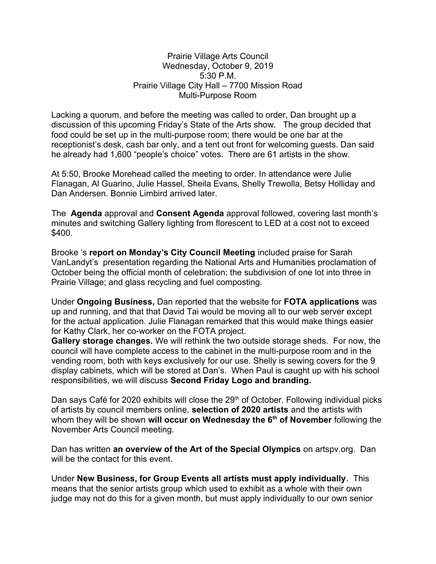#### Prairie Village Arts Council Wednesday, October 9, 2019 5:30 P.M. Prairie Village City Hall – 7700 Mission Road Multi-Purpose Room

Lacking a quorum, and before the meeting was called to order, Dan brought up a discussion of this upcoming Friday's State of the Arts show. The group decided that food could be set up in the multi-purpose room; there would be one bar at the receptionist's desk, cash bar only, and a tent out front for welcoming guests. Dan said he already had 1,600 "people's choice" votes. There are 61 artists in the show.

At 5:50, Brooke Morehead called the meeting to order. In attendance were Julie Flanagan, Al Guarino, Julie Hassel, Sheila Evans, Shelly Trewolla, Betsy Holliday and Dan Andersen. Bonnie Limbird arrived later.

The **Agenda** approval and **Consent Agenda** approval followed, covering last month's minutes and switching Gallery lighting from florescent to LED at a cost not to exceed \$400.

Brooke 's **report on Monday's City Council Meeting** included praise for Sarah VanLandyt's presentation regarding the National Arts and Humanities proclamation of October being the official month of celebration; the subdivision of one lot into three in Prairie Village; and glass recycling and fuel composting.

Under **Ongoing Business,** Dan reported that the website for **FOTA applications** was up and running, and that that David Tai would be moving all to our web server except for the actual application. Julie Flanagan remarked that this would make things easier for Kathy Clark, her co-worker on the FOTA project.

**Gallery storage changes.** We will rethink the two outside storage sheds. For now, the council will have complete access to the cabinet in the multi-purpose room and in the vending room, both with keys exclusively for our use. Shelly is sewing covers for the 9 display cabinets, which will be stored at Dan's. When Paul is caught up with his school responsibilities, we will discuss **Second Friday Logo and branding.**

Dan says Café for 2020 exhibits will close the 29<sup>th</sup> of October. Following individual picks of artists by council members online, **selection of 2020 artists** and the artists with whom they will be shown **will occur on Wednesday the 6th of November** following the November Arts Council meeting.

Dan has written **an overview of the Art of the Special Olympics** on artspv.org. Dan will be the contact for this event.

Under **New Business, for Group Events all artists must apply individually**. This means that the senior artists group which used to exhibit as a whole with their own judge may not do this for a given month, but must apply individually to our own senior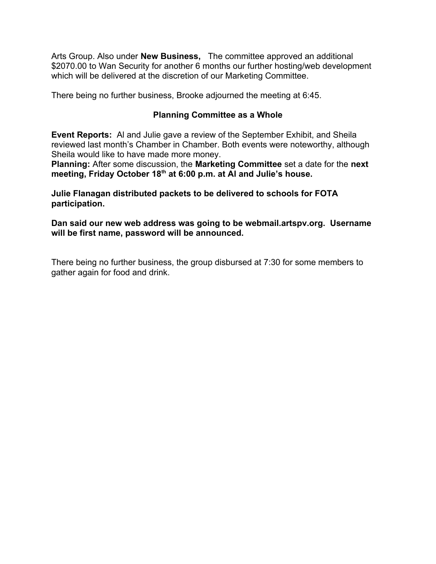Arts Group. Also under **New Business,** The committee approved an additional \$2070.00 to Wan Security for another 6 months our further hosting/web development which will be delivered at the discretion of our Marketing Committee.

There being no further business, Brooke adjourned the meeting at 6:45.

### **Planning Committee as a Whole**

**Event Reports:** Al and Julie gave a review of the September Exhibit, and Sheila reviewed last month's Chamber in Chamber. Both events were noteworthy, although Sheila would like to have made more money.

**Planning:** After some discussion, the **Marketing Committee** set a date for the **next meeting, Friday October 18th at 6:00 p.m. at Al and Julie's house.**

**Julie Flanagan distributed packets to be delivered to schools for FOTA participation.**

**Dan said our new web address was going to be webmail.artspv.org. Username will be first name, password will be announced.**

There being no further business, the group disbursed at 7:30 for some members to gather again for food and drink.